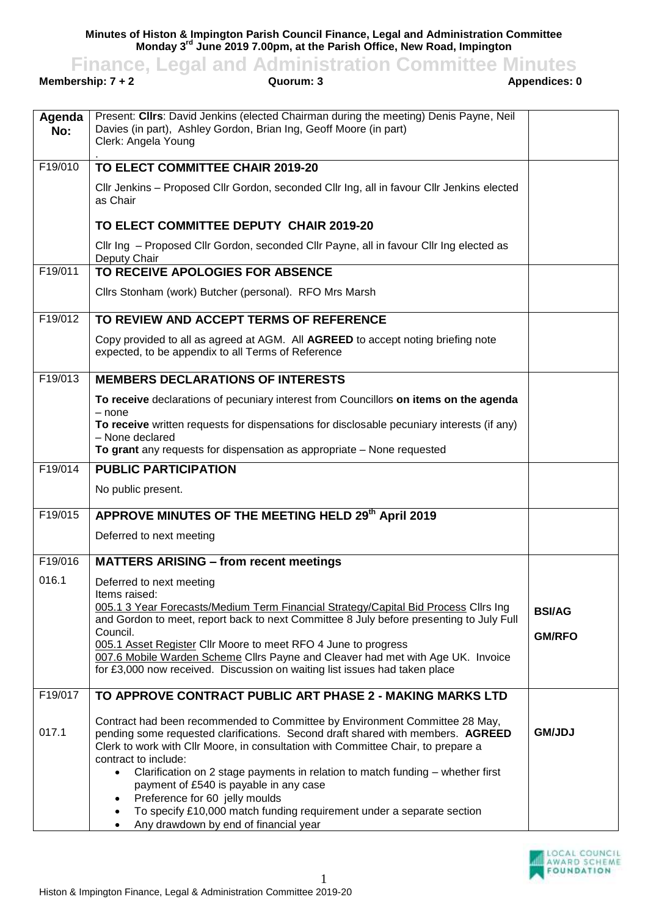**Minutes of Histon & Impington Parish Council Finance, Legal and Administration Committee Monday 3 rd June 2019 7.00pm, at the Parish Office, New Road, Impington**

**Finance, Legal and Administration Committee Minutes**<br>ership: 7+2<br>Appendices: 0

**Membership: 7 + 2** 

| Agenda<br>No: | Present: Clirs: David Jenkins (elected Chairman during the meeting) Denis Payne, Neil<br>Davies (in part), Ashley Gordon, Brian Ing, Geoff Moore (in part)<br>Clerk: Angela Young                                                                                           |               |
|---------------|-----------------------------------------------------------------------------------------------------------------------------------------------------------------------------------------------------------------------------------------------------------------------------|---------------|
| F19/010       | TO ELECT COMMITTEE CHAIR 2019-20                                                                                                                                                                                                                                            |               |
|               | Cllr Jenkins - Proposed Cllr Gordon, seconded Cllr Ing, all in favour Cllr Jenkins elected<br>as Chair                                                                                                                                                                      |               |
|               | TO ELECT COMMITTEE DEPUTY CHAIR 2019-20                                                                                                                                                                                                                                     |               |
|               | Cllr Ing - Proposed Cllr Gordon, seconded Cllr Payne, all in favour Cllr Ing elected as<br>Deputy Chair                                                                                                                                                                     |               |
| F19/011       | TO RECEIVE APOLOGIES FOR ABSENCE                                                                                                                                                                                                                                            |               |
|               | Cllrs Stonham (work) Butcher (personal). RFO Mrs Marsh                                                                                                                                                                                                                      |               |
| F19/012       | TO REVIEW AND ACCEPT TERMS OF REFERENCE                                                                                                                                                                                                                                     |               |
|               | Copy provided to all as agreed at AGM. All AGREED to accept noting briefing note<br>expected, to be appendix to all Terms of Reference                                                                                                                                      |               |
| F19/013       | <b>MEMBERS DECLARATIONS OF INTERESTS</b>                                                                                                                                                                                                                                    |               |
|               | To receive declarations of pecuniary interest from Councillors on items on the agenda                                                                                                                                                                                       |               |
|               | $-$ none<br>To receive written requests for dispensations for disclosable pecuniary interests (if any)                                                                                                                                                                      |               |
|               | - None declared<br>To grant any requests for dispensation as appropriate - None requested                                                                                                                                                                                   |               |
| F19/014       | <b>PUBLIC PARTICIPATION</b>                                                                                                                                                                                                                                                 |               |
|               | No public present.                                                                                                                                                                                                                                                          |               |
| F19/015       | APPROVE MINUTES OF THE MEETING HELD 29th April 2019                                                                                                                                                                                                                         |               |
|               | Deferred to next meeting                                                                                                                                                                                                                                                    |               |
| F19/016       | <b>MATTERS ARISING - from recent meetings</b>                                                                                                                                                                                                                               |               |
| 016.1         | Deferred to next meeting                                                                                                                                                                                                                                                    |               |
|               | Items raised:<br>005.1 3 Year Forecasts/Medium Term Financial Strategy/Capital Bid Process Cllrs Ing                                                                                                                                                                        | <b>BSI/AG</b> |
|               | and Gordon to meet, report back to next Committee 8 July before presenting to July Full<br>Council.                                                                                                                                                                         |               |
|               | 005.1 Asset Register Cllr Moore to meet RFO 4 June to progress                                                                                                                                                                                                              | <b>GM/RFO</b> |
|               | 007.6 Mobile Warden Scheme Cllrs Payne and Cleaver had met with Age UK. Invoice<br>for £3,000 now received. Discussion on waiting list issues had taken place                                                                                                               |               |
|               |                                                                                                                                                                                                                                                                             |               |
| F19/017       | TO APPROVE CONTRACT PUBLIC ART PHASE 2 - MAKING MARKS LTD                                                                                                                                                                                                                   |               |
| 017.1         | Contract had been recommended to Committee by Environment Committee 28 May,<br>pending some requested clarifications. Second draft shared with members. AGREED<br>Clerk to work with Cllr Moore, in consultation with Committee Chair, to prepare a<br>contract to include: | <b>GM/JDJ</b> |
|               | Clarification on 2 stage payments in relation to match funding - whether first<br>payment of £540 is payable in any case                                                                                                                                                    |               |
|               | Preference for 60 jelly moulds<br>To specify £10,000 match funding requirement under a separate section                                                                                                                                                                     |               |
|               | Any drawdown by end of financial year                                                                                                                                                                                                                                       |               |